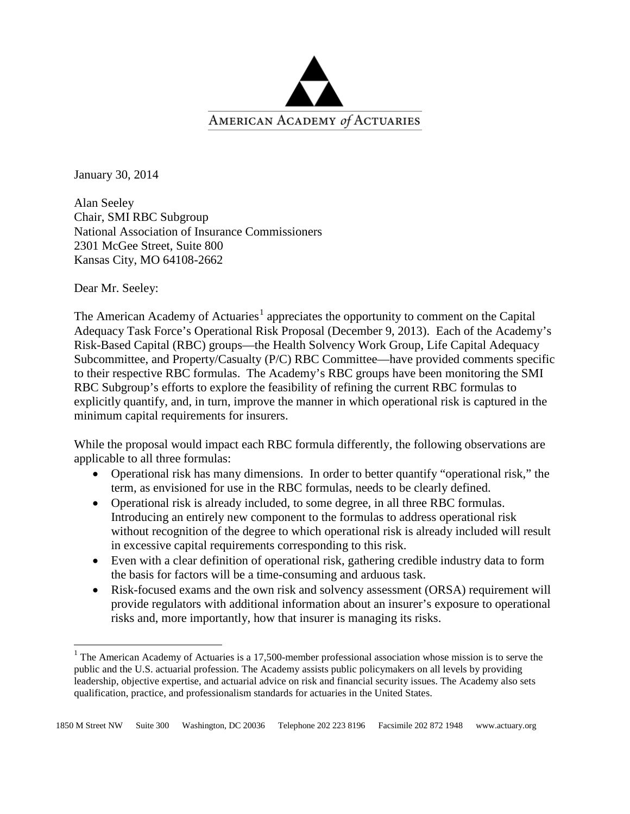

January 30, 2014

Alan Seeley Chair, SMI RBC Subgroup National Association of Insurance Commissioners 2301 McGee Street, Suite 800 Kansas City, MO 64108-2662

Dear Mr. Seeley:

 $\overline{\phantom{a}}$ 

The American Academy of Actuaries<sup>[1](#page-0-0)</sup> appreciates the opportunity to comment on the Capital Adequacy Task Force's Operational Risk Proposal (December 9, 2013). Each of the Academy's Risk-Based Capital (RBC) groups—the Health Solvency Work Group, Life Capital Adequacy Subcommittee, and Property/Casualty (P/C) RBC Committee—have provided comments specific to their respective RBC formulas. The Academy's RBC groups have been monitoring the SMI RBC Subgroup's efforts to explore the feasibility of refining the current RBC formulas to explicitly quantify, and, in turn, improve the manner in which operational risk is captured in the minimum capital requirements for insurers.

While the proposal would impact each RBC formula differently, the following observations are applicable to all three formulas:

- Operational risk has many dimensions. In order to better quantify "operational risk," the term, as envisioned for use in the RBC formulas, needs to be clearly defined.
- Operational risk is already included, to some degree, in all three RBC formulas. Introducing an entirely new component to the formulas to address operational risk without recognition of the degree to which operational risk is already included will result in excessive capital requirements corresponding to this risk.
- Even with a clear definition of operational risk, gathering credible industry data to form the basis for factors will be a time-consuming and arduous task.
- Risk-focused exams and the own risk and solvency assessment (ORSA) requirement will provide regulators with additional information about an insurer's exposure to operational risks and, more importantly, how that insurer is managing its risks.

<span id="page-0-0"></span> $1$  The American Academy of Actuaries is a 17,500-member professional association whose mission is to serve the public and the U.S. actuarial profession. The Academy assists public policymakers on all levels by providing leadership, objective expertise, and actuarial advice on risk and financial security issues. The Academy also sets qualification, practice, and professionalism standards for actuaries in the United States.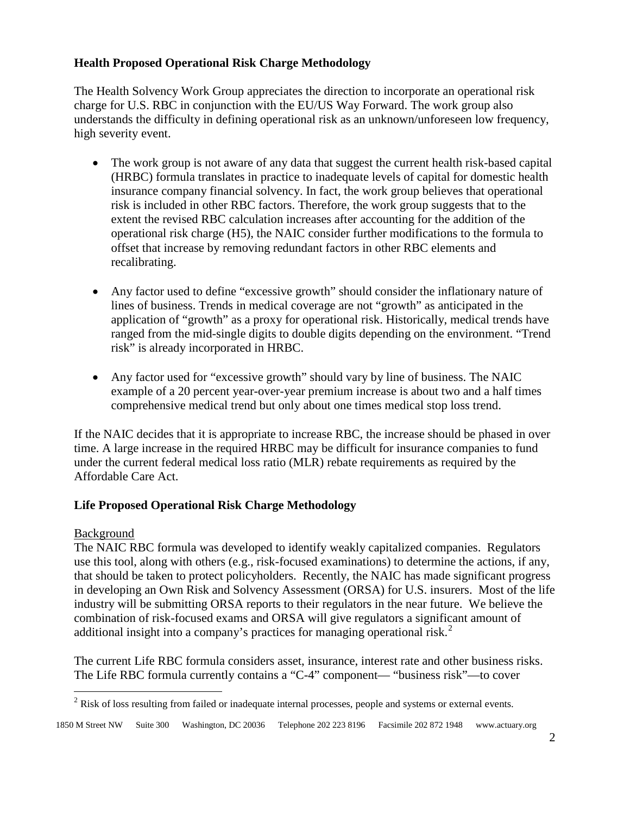# **Health Proposed Operational Risk Charge Methodology**

The Health Solvency Work Group appreciates the direction to incorporate an operational risk charge for U.S. RBC in conjunction with the EU/US Way Forward. The work group also understands the difficulty in defining operational risk as an unknown/unforeseen low frequency, high severity event.

- The work group is not aware of any data that suggest the current health risk-based capital (HRBC) formula translates in practice to inadequate levels of capital for domestic health insurance company financial solvency. In fact, the work group believes that operational risk is included in other RBC factors. Therefore, the work group suggests that to the extent the revised RBC calculation increases after accounting for the addition of the operational risk charge (H5), the NAIC consider further modifications to the formula to offset that increase by removing redundant factors in other RBC elements and recalibrating.
- Any factor used to define "excessive growth" should consider the inflationary nature of lines of business. Trends in medical coverage are not "growth" as anticipated in the application of "growth" as a proxy for operational risk. Historically, medical trends have ranged from the mid-single digits to double digits depending on the environment. "Trend risk" is already incorporated in HRBC.
- Any factor used for "excessive growth" should vary by line of business. The NAIC example of a 20 percent year-over-year premium increase is about two and a half times comprehensive medical trend but only about one times medical stop loss trend.

If the NAIC decides that it is appropriate to increase RBC, the increase should be phased in over time. A large increase in the required HRBC may be difficult for insurance companies to fund under the current federal medical loss ratio (MLR) rebate requirements as required by the Affordable Care Act.

# **Life Proposed Operational Risk Charge Methodology**

# Background

l

The NAIC RBC formula was developed to identify weakly capitalized companies. Regulators use this tool, along with others (e.g., risk-focused examinations) to determine the actions, if any, that should be taken to protect policyholders. Recently, the NAIC has made significant progress in developing an Own Risk and Solvency Assessment (ORSA) for U.S. insurers. Most of the life industry will be submitting ORSA reports to their regulators in the near future. We believe the combination of risk-focused exams and ORSA will give regulators a significant amount of additional insight into a company's practices for managing operational risk.<sup>[2](#page-1-0)</sup>

The current Life RBC formula considers asset, insurance, interest rate and other business risks. The Life RBC formula currently contains a "C-4" component— "business risk"—to cover

<span id="page-1-0"></span> $<sup>2</sup>$  Risk of loss resulting from failed or inadequate internal processes, people and systems or external events.</sup>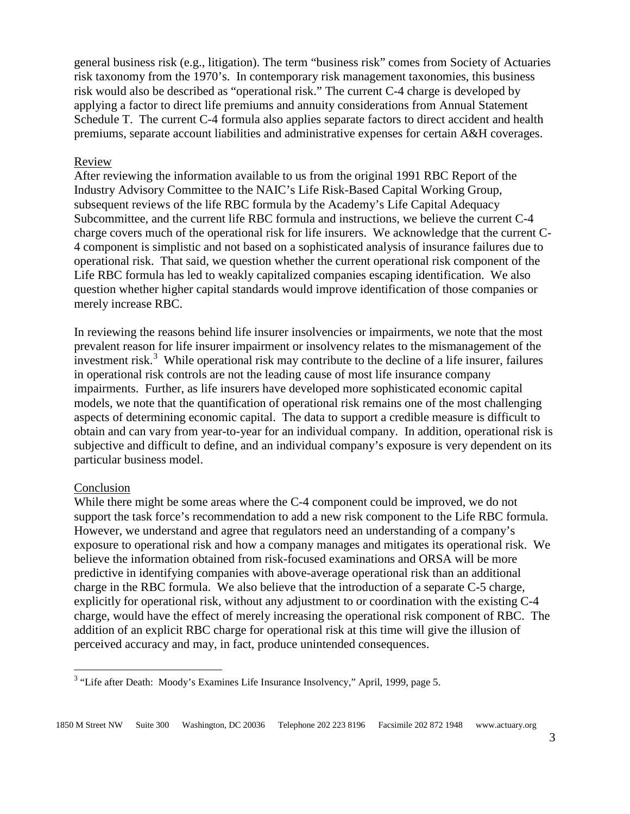general business risk (e.g., litigation). The term "business risk" comes from Society of Actuaries risk taxonomy from the 1970's. In contemporary risk management taxonomies, this business risk would also be described as "operational risk." The current C-4 charge is developed by applying a factor to direct life premiums and annuity considerations from Annual Statement Schedule T. The current C-4 formula also applies separate factors to direct accident and health premiums, separate account liabilities and administrative expenses for certain A&H coverages.

#### Review

After reviewing the information available to us from the original 1991 RBC Report of the Industry Advisory Committee to the NAIC's Life Risk-Based Capital Working Group, subsequent reviews of the life RBC formula by the Academy's Life Capital Adequacy Subcommittee, and the current life RBC formula and instructions, we believe the current C-4 charge covers much of the operational risk for life insurers. We acknowledge that the current C-4 component is simplistic and not based on a sophisticated analysis of insurance failures due to operational risk. That said, we question whether the current operational risk component of the Life RBC formula has led to weakly capitalized companies escaping identification. We also question whether higher capital standards would improve identification of those companies or merely increase RBC.

In reviewing the reasons behind life insurer insolvencies or impairments, we note that the most prevalent reason for life insurer impairment or insolvency relates to the mismanagement of the investment risk.<sup>[3](#page-2-0)</sup> While operational risk may contribute to the decline of a life insurer, failures in operational risk controls are not the leading cause of most life insurance company impairments. Further, as life insurers have developed more sophisticated economic capital models, we note that the quantification of operational risk remains one of the most challenging aspects of determining economic capital. The data to support a credible measure is difficult to obtain and can vary from year-to-year for an individual company. In addition, operational risk is subjective and difficult to define, and an individual company's exposure is very dependent on its particular business model.

#### Conclusion

l

While there might be some areas where the C-4 component could be improved, we do not support the task force's recommendation to add a new risk component to the Life RBC formula. However, we understand and agree that regulators need an understanding of a company's exposure to operational risk and how a company manages and mitigates its operational risk. We believe the information obtained from risk-focused examinations and ORSA will be more predictive in identifying companies with above-average operational risk than an additional charge in the RBC formula. We also believe that the introduction of a separate C-5 charge, explicitly for operational risk, without any adjustment to or coordination with the existing C-4 charge, would have the effect of merely increasing the operational risk component of RBC. The addition of an explicit RBC charge for operational risk at this time will give the illusion of perceived accuracy and may, in fact, produce unintended consequences.

<span id="page-2-0"></span><sup>&</sup>lt;sup>3</sup> "Life after Death: Moody's Examines Life Insurance Insolvency," April, 1999, page 5.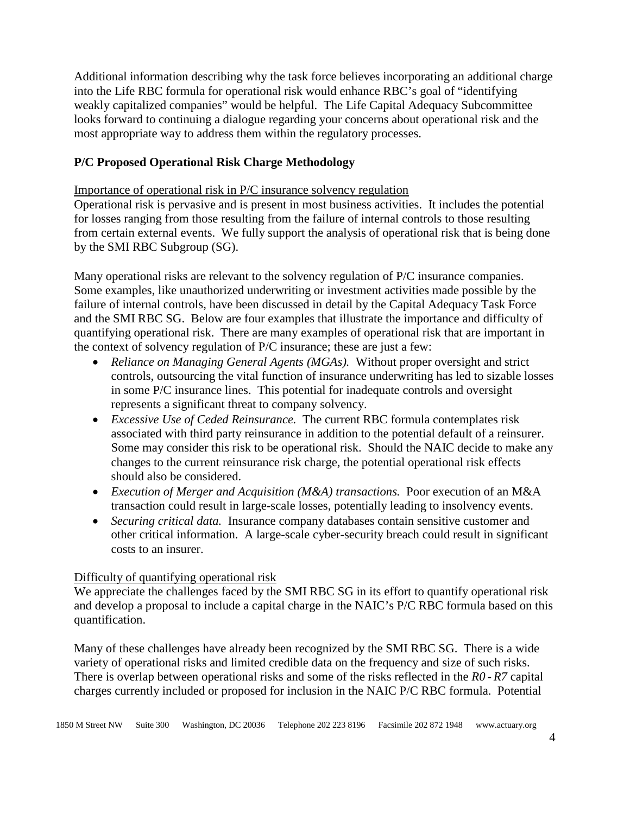Additional information describing why the task force believes incorporating an additional charge into the Life RBC formula for operational risk would enhance RBC's goal of "identifying weakly capitalized companies" would be helpful. The Life Capital Adequacy Subcommittee looks forward to continuing a dialogue regarding your concerns about operational risk and the most appropriate way to address them within the regulatory processes.

## **P/C Proposed Operational Risk Charge Methodology**

Importance of operational risk in P/C insurance solvency regulation

Operational risk is pervasive and is present in most business activities. It includes the potential for losses ranging from those resulting from the failure of internal controls to those resulting from certain external events. We fully support the analysis of operational risk that is being done by the SMI RBC Subgroup (SG).

Many operational risks are relevant to the solvency regulation of P/C insurance companies. Some examples, like unauthorized underwriting or investment activities made possible by the failure of internal controls, have been discussed in detail by the Capital Adequacy Task Force and the SMI RBC SG. Below are four examples that illustrate the importance and difficulty of quantifying operational risk. There are many examples of operational risk that are important in the context of solvency regulation of P/C insurance; these are just a few:

- *Reliance on Managing General Agents (MGAs)*. Without proper oversight and strict controls, outsourcing the vital function of insurance underwriting has led to sizable losses in some P/C insurance lines. This potential for inadequate controls and oversight represents a significant threat to company solvency.
- *Excessive Use of Ceded Reinsurance.* The current RBC formula contemplates risk associated with third party reinsurance in addition to the potential default of a reinsurer. Some may consider this risk to be operational risk. Should the NAIC decide to make any changes to the current reinsurance risk charge, the potential operational risk effects should also be considered.
- *Execution of Merger and Acquisition (M&A) transactions.* Poor execution of an M&A transaction could result in large-scale losses, potentially leading to insolvency events.
- *Securing critical data.* Insurance company databases contain sensitive customer and other critical information. A large-scale cyber-security breach could result in significant costs to an insurer.

## Difficulty of quantifying operational risk

We appreciate the challenges faced by the SMI RBC SG in its effort to quantify operational risk and develop a proposal to include a capital charge in the NAIC's P/C RBC formula based on this quantification.

Many of these challenges have already been recognized by the SMI RBC SG. There is a wide variety of operational risks and limited credible data on the frequency and size of such risks. There is overlap between operational risks and some of the risks reflected in the *R0* - *R7* capital charges currently included or proposed for inclusion in the NAIC P/C RBC formula. Potential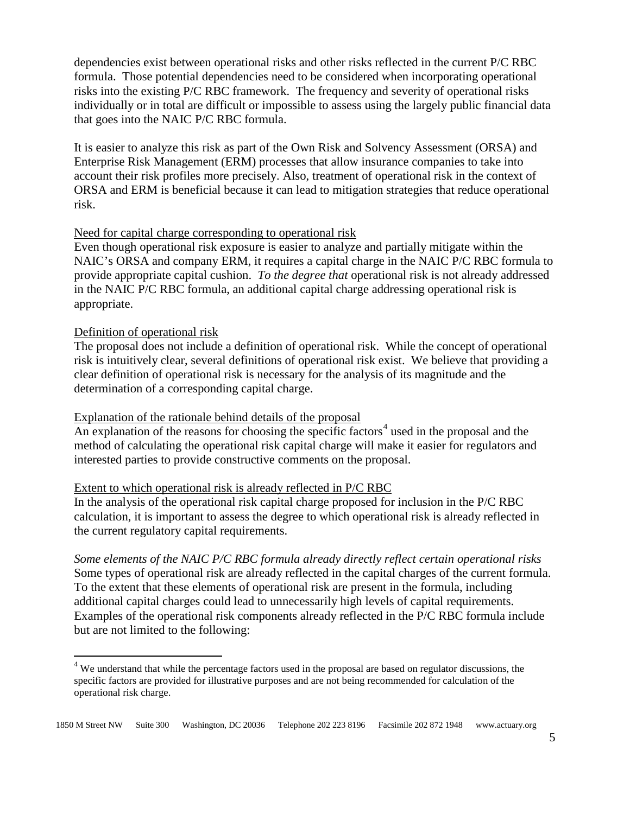dependencies exist between operational risks and other risks reflected in the current P/C RBC formula. Those potential dependencies need to be considered when incorporating operational risks into the existing P/C RBC framework. The frequency and severity of operational risks individually or in total are difficult or impossible to assess using the largely public financial data that goes into the NAIC P/C RBC formula.

It is easier to analyze this risk as part of the Own Risk and Solvency Assessment (ORSA) and Enterprise Risk Management (ERM) processes that allow insurance companies to take into account their risk profiles more precisely. Also, treatment of operational risk in the context of ORSA and ERM is beneficial because it can lead to mitigation strategies that reduce operational risk.

## Need for capital charge corresponding to operational risk

Even though operational risk exposure is easier to analyze and partially mitigate within the NAIC's ORSA and company ERM, it requires a capital charge in the NAIC P/C RBC formula to provide appropriate capital cushion. *To the degree that* operational risk is not already addressed in the NAIC P/C RBC formula, an additional capital charge addressing operational risk is appropriate.

#### Definition of operational risk

 $\overline{\phantom{a}}$ 

The proposal does not include a definition of operational risk. While the concept of operational risk is intuitively clear, several definitions of operational risk exist. We believe that providing a clear definition of operational risk is necessary for the analysis of its magnitude and the determination of a corresponding capital charge.

## Explanation of the rationale behind details of the proposal

An explanation of the reasons for choosing the specific factors<sup>[4](#page-4-0)</sup> used in the proposal and the method of calculating the operational risk capital charge will make it easier for regulators and interested parties to provide constructive comments on the proposal.

#### Extent to which operational risk is already reflected in P/C RBC

In the analysis of the operational risk capital charge proposed for inclusion in the P/C RBC calculation, it is important to assess the degree to which operational risk is already reflected in the current regulatory capital requirements.

*Some elements of the NAIC P/C RBC formula already directly reflect certain operational risks* Some types of operational risk are already reflected in the capital charges of the current formula. To the extent that these elements of operational risk are present in the formula, including additional capital charges could lead to unnecessarily high levels of capital requirements. Examples of the operational risk components already reflected in the P/C RBC formula include but are not limited to the following:

<span id="page-4-0"></span><sup>&</sup>lt;sup>4</sup> We understand that while the percentage factors used in the proposal are based on regulator discussions, the specific factors are provided for illustrative purposes and are not being recommended for calculation of the operational risk charge.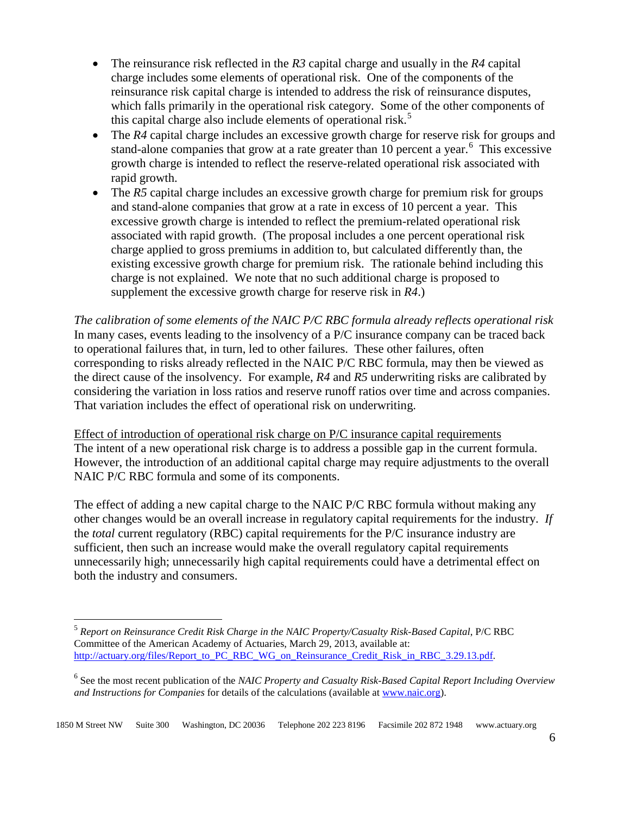- The reinsurance risk reflected in the *R3* capital charge and usually in the *R4* capital charge includes some elements of operational risk. One of the components of the reinsurance risk capital charge is intended to address the risk of reinsurance disputes, which falls primarily in the operational risk category. Some of the other components of this capital charge also include elements of operational risk.<sup>[5](#page-5-0)</sup>
- The *R4* capital charge includes an excessive growth charge for reserve risk for groups and stand-alone companies that grow at a rate greater than 10 percent a year.<sup>[6](#page-5-1)</sup> This excessive growth charge is intended to reflect the reserve-related operational risk associated with rapid growth.
- The *R5* capital charge includes an excessive growth charge for premium risk for groups and stand-alone companies that grow at a rate in excess of 10 percent a year. This excessive growth charge is intended to reflect the premium-related operational risk associated with rapid growth. (The proposal includes a one percent operational risk charge applied to gross premiums in addition to, but calculated differently than, the existing excessive growth charge for premium risk. The rationale behind including this charge is not explained. We note that no such additional charge is proposed to supplement the excessive growth charge for reserve risk in *R4*.)

*The calibration of some elements of the NAIC P/C RBC formula already reflects operational risk*  In many cases, events leading to the insolvency of a P/C insurance company can be traced back to operational failures that, in turn, led to other failures. These other failures, often corresponding to risks already reflected in the NAIC P/C RBC formula, may then be viewed as the direct cause of the insolvency. For example, *R4* and *R5* underwriting risks are calibrated by considering the variation in loss ratios and reserve runoff ratios over time and across companies. That variation includes the effect of operational risk on underwriting.

Effect of introduction of operational risk charge on P/C insurance capital requirements The intent of a new operational risk charge is to address a possible gap in the current formula. However, the introduction of an additional capital charge may require adjustments to the overall NAIC P/C RBC formula and some of its components.

The effect of adding a new capital charge to the NAIC P/C RBC formula without making any other changes would be an overall increase in regulatory capital requirements for the industry. *If* the *total* current regulatory (RBC) capital requirements for the P/C insurance industry are sufficient, then such an increase would make the overall regulatory capital requirements unnecessarily high; unnecessarily high capital requirements could have a detrimental effect on both the industry and consumers.

 $\overline{\phantom{a}}$ 

<span id="page-5-0"></span><sup>5</sup> *Report on Reinsurance Credit Risk Charge in the NAIC Property/Casualty Risk-Based Capital*, P/C RBC Committee of the American Academy of Actuaries, March 29, 2013, available at: [http://actuary.org/files/Report\\_to\\_PC\\_RBC\\_WG\\_on\\_Reinsurance\\_Credit\\_Risk\\_in\\_RBC\\_3.29.13.pdf.](http://actuary.org/files/Report_to_PC_RBC_WG_on_Reinsurance_Credit_Risk_in_RBC_3.29.13.pdf)

<span id="page-5-1"></span><sup>6</sup> See the most recent publication of the *NAIC Property and Casualty Risk-Based Capital Report Including Overview and Instructions for Companies* for details of the calculations (available a[t www.naic.org\)](http://www.naic.org/).